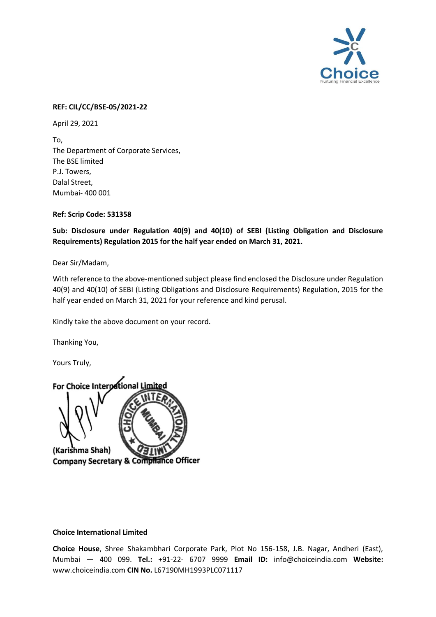

## **REF: CIL/CC/BSE-05/2021-22**

April 29, 2021

To, The Department of Corporate Services, The BSE limited P.J. Towers, Dalal Street, Mumbai- 400 001

**Ref: Scrip Code: 531358** 

**Sub: Disclosure under Regulation 40(9) and 40(10) of SEBI (Listing Obligation and Disclosure Requirements) Regulation 2015 for the half year ended on March 31, 2021.** 

Dear Sir/Madam,

With reference to the above-mentioned subject please find enclosed the Disclosure under Regulation 40(9) and 40(10) of SEBI (Listing Obligations and Disclosure Requirements) Regulation, 2015 for the half year ended on March 31, 2021 for your reference and kind perusal.

Kindly take the above document on your record.

Thanking You,

Yours Truly,



## **Choice International Limited**

**Choice House**, Shree Shakambhari Corporate Park, Plot No 156-158, J.B. Nagar, Andheri (East), Mumbai — 400 099. **Tel.:** +91-22- 6707 9999 **Email ID:** info@choiceindia.com **Website:** www.choiceindia.com **CIN No.** L67190MH1993PLC071117